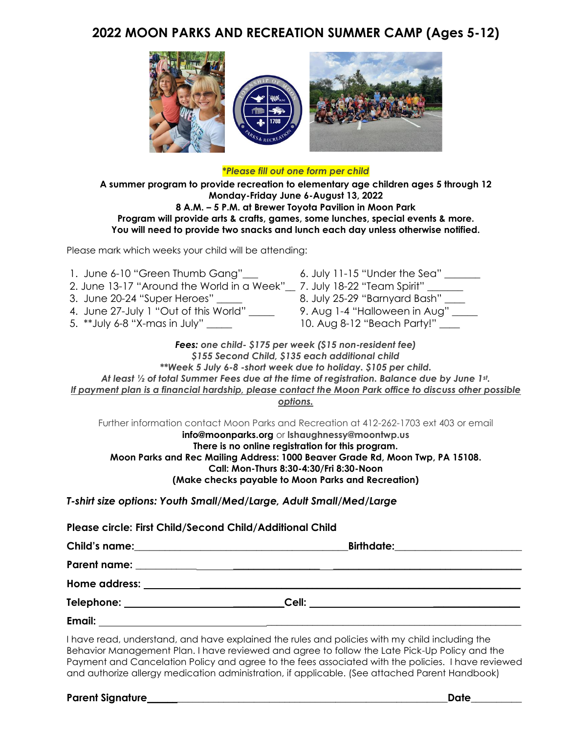## **2022 MOON PARKS AND RECREATION SUMMER CAMP (Ages 5-12)**



#### *\*Please fill out one form per child*

**A summer program to provide recreation to elementary age children ages 5 through 12 Monday-Friday June 6-August 13, 2022 8 A.M. – 5 P.M. at Brewer Toyota Pavilion in Moon Park Program will provide arts & crafts, games, some lunches, special events & more. You will need to provide two snacks and lunch each day unless otherwise notified.**

Please mark which weeks your child will be attending:

| 1. June 6-10 "Green Thumb Gang"___<br>2. June 13-17 "Around the World in a Week"__ 7. July 18-22 "Team Spirit" ______<br>3. June 20-24 "Super Heroes" _____<br>4. June 27-July 1 "Out of this World" _____<br>5. **July 6-8 "X-mas in July" _____                                                                                                                                                                  | 6. July 11-15 "Under the Sea" $\_\_$<br>8. July 25-29 "Barnyard Bash" ____<br>9. Aug 1-4 "Halloween in Aug" ____<br>10. Aug 8-12 "Beach Party!" |  |  |
|--------------------------------------------------------------------------------------------------------------------------------------------------------------------------------------------------------------------------------------------------------------------------------------------------------------------------------------------------------------------------------------------------------------------|-------------------------------------------------------------------------------------------------------------------------------------------------|--|--|
| Fees: one child- \$175 per week (\$15 non-resident fee)<br>\$155 Second Child, \$135 each additional child<br>**Week 5 July 6-8 -short week due to holiday. \$105 per child.<br>At least $\frac{1}{2}$ of total Summer Fees due at the time of registration. Balance due by June 1st.<br><u>If payment plan is a financial hardship, please contact the Moon Park office to discuss other possible</u><br>options. |                                                                                                                                                 |  |  |
| Further information contact Moon Parks and Recreation at 412-262-1703 ext 403 or email<br>info@moonparks.org or Ishaughnessy@moontwp.us<br>There is no online registration for this program.<br>Moon Parks and Rec Mailing Address: 1000 Beaver Grade Rd, Moon Twp, PA 15108.<br>Call: Mon-Thurs 8:30-4:30/Fri 8:30-Noon<br>(Make checks payable to Moon Parks and Recreation)                                     |                                                                                                                                                 |  |  |
| T-shirt size options: Youth Small/Med/Large, Adult Small/Med/Large                                                                                                                                                                                                                                                                                                                                                 |                                                                                                                                                 |  |  |
| Please circle: First Child/Second Child/Additional Child                                                                                                                                                                                                                                                                                                                                                           |                                                                                                                                                 |  |  |

|                                                                                                                                                                                                                                     | Birthdate:________________________ |
|-------------------------------------------------------------------------------------------------------------------------------------------------------------------------------------------------------------------------------------|------------------------------------|
| <b>Parent name:</b>                                                                                                                                                                                                                 |                                    |
|                                                                                                                                                                                                                                     |                                    |
| Cell:                                                                                                                                                                                                                               |                                    |
| <b>Email:</b> Email: All and the second contract of the second contract of the second contract of the second contract of the second contract of the second contract of the second contract of the second contract of the second con |                                    |

I have read, understand, and have explained the rules and policies with my child including the Behavior Management Plan. I have reviewed and agree to follow the Late Pick-Up Policy and the Payment and Cancelation Policy and agree to the fees associated with the policies. I have reviewed and authorize allergy medication administration, if applicable. (See attached Parent Handbook)